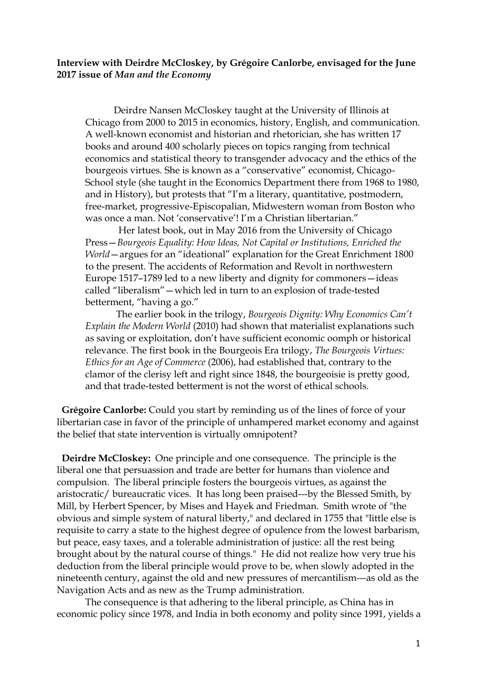## **Interview with Deirdre McCloskey, by Grégoire Canlorbe, envisaged for the June 2017 issue of** *Man and the Economy*

 Deirdre Nansen McCloskey taught at the University of Illinois at Chicago from 2000 to 2015 in economics, history, English, and communication. A well-known economist and historian and rhetorician, she has written 17 books and around 400 scholarly pieces on topics ranging from technical economics and statistical theory to transgender advocacy and the ethics of the bourgeois virtues. She is known as a "conservative" economist, Chicago-School style (she taught in the Economics Department there from 1968 to 1980, and in History), but protests that "I'm a literary, quantitative, postmodern, free-market, progressive-Episcopalian, Midwestern woman from Boston who was once a man. Not 'conservative'! I'm a Christian libertarian."

 Her latest book, out in May 2016 from the University of Chicago Press—*Bourgeois Equality: How Ideas, Not Capital or Institutions, Enriched the World*—argues for an "ideational" explanation for the Great Enrichment 1800 to the present. The accidents of Reformation and Revolt in northwestern Europe 1517–1789 led to a new liberty and dignity for commoners—ideas called "liberalism"—which led in turn to an explosion of trade-tested betterment, "having a go."

The earlier book in the trilogy, *Bourgeois Dignity: Why Economics Can't Explain the Modern World* (2010) had shown that materialist explanations such as saving or exploitation, don't have sufficient economic oomph or historical relevance. The first book in the Bourgeois Era trilogy, *The Bourgeois Virtues: Ethics for an Age of Commerce* (2006), had established that, contrary to the clamor of the clerisy left and right since 1848, the bourgeoisie is pretty good, and that trade-tested betterment is not the worst of ethical schools.

 **Grégoire Canlorbe:** Could you start by reminding us of the lines of force of your libertarian case in favor of the principle of unhampered market economy and against the belief that state intervention is virtually omnipotent?

 **Deirdre McCloskey:** One principle and one consequence. The principle is the liberal one that persuassion and trade are better for humans than violence and compulsion. The liberal principle fosters the bourgeois virtues, as against the aristocratic/ bureaucratic vices. It has long been praised---by the Blessed Smith, by Mill, by Herbert Spencer, by Mises and Hayek and Friedman. Smith wrote of "the obvious and simple system of natural liberty," and declared in 1755 that "little else is requisite to carry a state to the highest degree of opulence from the lowest barbarism, but peace, easy taxes, and a tolerable administration of justice: all the rest being brought about by the natural course of things." He did not realize how very true his deduction from the liberal principle would prove to be, when slowly adopted in the nineteenth century, against the old and new pressures of mercantilism---as old as the Navigation Acts and as new as the Trump administration.

The consequence is that adhering to the liberal principle, as China has in economic policy since 1978, and India in both economy and polity since 1991, yields a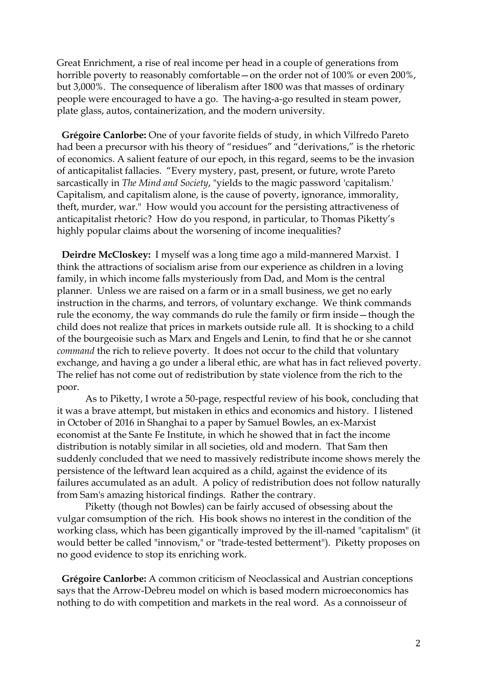Great Enrichment, a rise of real income per head in a couple of generations from horrible poverty to reasonably comfortable—on the order not of 100% or even 200%, but 3,000%. The consequence of liberalism after 1800 was that masses of ordinary people were encouraged to have a go. The having-a-go resulted in steam power, plate glass, autos, containerization, and the modern university.

 **Grégoire Canlorbe:** One of your favorite fields of study, in which Vilfredo Pareto had been a precursor with his theory of "residues" and "derivations," is the rhetoric of economics. A salient feature of our epoch, in this regard, seems to be the invasion of anticapitalist fallacies. "Every mystery, past, present, or future, wrote Pareto sarcastically in *The Mind and Society*, "yields to the magic password 'capitalism.' Capitalism, and capitalism alone, is the cause of poverty, ignorance, immorality, theft, murder, war." How would you account for the persisting attractiveness of anticapitalist rhetoric? How do you respond, in particular, to Thomas Piketty's highly popular claims about the worsening of income inequalities?

 **Deirdre McCloskey:** I myself was a long time ago a mild-mannered Marxist. I think the attractions of socialism arise from our experience as children in a loving family, in which income falls mysteriously from Dad, and Mom is the central planner. Unless we are raised on a farm or in a small business, we get no early instruction in the charms, and terrors, of voluntary exchange. We think commands rule the economy, the way commands do rule the family or firm inside—though the child does not realize that prices in markets outside rule all. It is shocking to a child of the bourgeoisie such as Marx and Engels and Lenin, to find that he or she cannot *command* the rich to relieve poverty. It does not occur to the child that voluntary exchange, and having a go under a liberal ethic, are what has in fact relieved poverty. The relief has not come out of redistribution by state violence from the rich to the poor.

As to Piketty, I wrote a 50-page, respectful review of his book, concluding that it was a brave attempt, but mistaken in ethics and economics and history. I listened in October of 2016 in Shanghai to a paper by Samuel Bowles, an ex-Marxist economist at the Sante Fe Institute, in which he showed that in fact the income distribution is notably similar in all societies, old and modern. That Sam then suddenly concluded that we need to massively redistribute income shows merely the persistence of the leftward lean acquired as a child, against the evidence of its failures accumulated as an adult. A policy of redistribution does not follow naturally from Sam's amazing historical findings. Rather the contrary.

Piketty (though not Bowles) can be fairly accused of obsessing about the vulgar comsumption of the rich. His book shows no interest in the condition of the working class, which has been gigantically improved by the ill-named "capitalism" (it would better be called "innovism," or "trade-tested betterment"). Piketty proposes on no good evidence to stop its enriching work.

 **Grégoire Canlorbe:** A common criticism of Neoclassical and Austrian conceptions says that the Arrow-Debreu model on which is based modern microeconomics has nothing to do with competition and markets in the real word. As a connoisseur of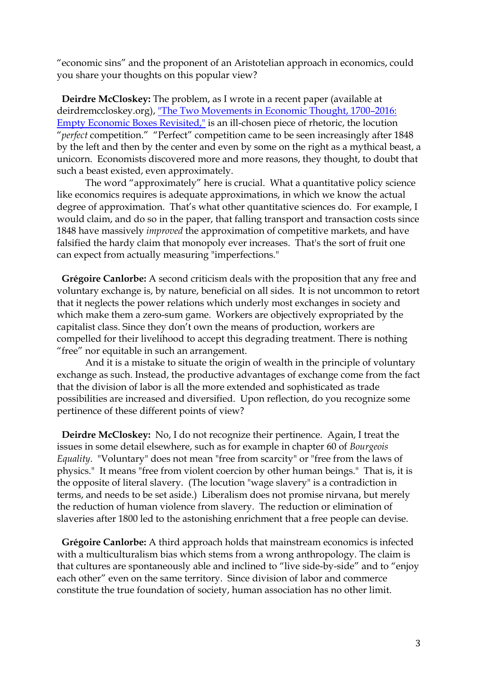"economic sins" and the proponent of an Aristotelian approach in economics, could you share your thoughts on this popular view?

 **Deirdre McCloskey:** The problem, as I wrote in a recent paper (available at deirdremccloskey.org), ["The Two Movements in Economic Thought, 1700](http://deirdremccloskey.org/docs/pdf/CataniaSpeech2016.pdf)–2016: [Empty Economic Boxes Revisited,"](http://deirdremccloskey.org/docs/pdf/CataniaSpeech2016.pdf) is an ill-chosen piece of rhetoric, the locution "*perfect* competition." "Perfect" competition came to be seen increasingly after 1848 by the left and then by the center and even by some on the right as a mythical beast, a unicorn. Economists discovered more and more reasons, they thought, to doubt that such a beast existed, even approximately.

The word "approximately" here is crucial. What a quantitative policy science like economics requires is adequate approximations, in which we know the actual degree of approximation. That's what other quantitative sciences do. For example, I would claim, and do so in the paper, that falling transport and transaction costs since 1848 have massively *improved* the approximation of competitive markets, and have falsified the hardy claim that monopoly ever increases. That's the sort of fruit one can expect from actually measuring "imperfections."

 **Grégoire Canlorbe:** A second criticism deals with the proposition that any free and voluntary exchange is, by nature, beneficial on all sides. It is not uncommon to retort that it neglects the power relations which underly most exchanges in society and which make them a zero-sum game. Workers are objectively expropriated by the capitalist class. Since they don't own the means of production, workers are compelled for their livelihood to accept this degrading treatment. There is nothing "free" nor equitable in such an arrangement.

 And it is a mistake to situate the origin of wealth in the principle of voluntary exchange as such. Instead, the productive advantages of exchange come from the fact that the division of labor is all the more extended and sophisticated as trade possibilities are increased and diversified. Upon reflection, do you recognize some pertinence of these different points of view?

 **Deirdre McCloskey:** No, I do not recognize their pertinence. Again, I treat the issues in some detail elsewhere, such as for example in chapter 60 of *Bourgeois Equality*. "Voluntary" does not mean "free from scarcity" or "free from the laws of physics." It means "free from violent coercion by other human beings." That is, it is the opposite of literal slavery. (The locution "wage slavery" is a contradiction in terms, and needs to be set aside.) Liberalism does not promise nirvana, but merely the reduction of human violence from slavery. The reduction or elimination of slaveries after 1800 led to the astonishing enrichment that a free people can devise.

 **Grégoire Canlorbe:** A third approach holds that mainstream economics is infected with a multiculturalism bias which stems from a wrong anthropology. The claim is that cultures are spontaneously able and inclined to "live side-by-side" and to "enjoy each other" even on the same territory. Since division of labor and commerce constitute the true foundation of society, human association has no other limit.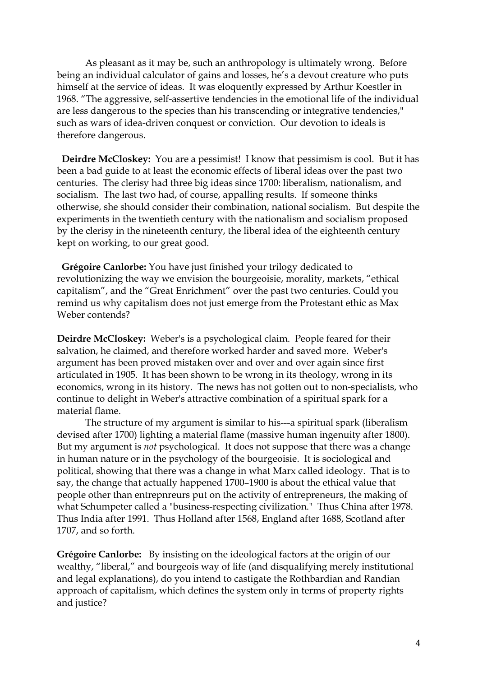As pleasant as it may be, such an anthropology is ultimately wrong. Before being an individual calculator of gains and losses, he's a devout creature who puts himself at the service of ideas. It was eloquently expressed by Arthur Koestler in 1968. "The aggressive, self-assertive tendencies in the emotional life of the individual are less dangerous to the species than his transcending or integrative tendencies," such as wars of idea-driven conquest or conviction. Our devotion to ideals is therefore dangerous.

 **Deirdre McCloskey:** You are a pessimist! I know that pessimism is cool. But it has been a bad guide to at least the economic effects of liberal ideas over the past two centuries. The clerisy had three big ideas since 1700: liberalism, nationalism, and socialism. The last two had, of course, appalling results. If someone thinks otherwise, she should consider their combination, national socialism. But despite the experiments in the twentieth century with the nationalism and socialism proposed by the clerisy in the nineteenth century, the liberal idea of the eighteenth century kept on working, to our great good.

 **Grégoire Canlorbe:** You have just finished your trilogy dedicated to revolutionizing the way we envision the bourgeoisie, morality, markets, "ethical capitalism", and the "Great Enrichment" over the past two centuries. Could you remind us why capitalism does not just emerge from the Protestant ethic as Max Weber contends?

**Deirdre McCloskey:** Weber's is a psychological claim. People feared for their salvation, he claimed, and therefore worked harder and saved more. Weber's argument has been proved mistaken over and over and over again since first articulated in 1905. It has been shown to be wrong in its theology, wrong in its economics, wrong in its history. The news has not gotten out to non-specialists, who continue to delight in Weber's attractive combination of a spiritual spark for a material flame.

The structure of my argument is similar to his---a spiritual spark (liberalism devised after 1700) lighting a material flame (massive human ingenuity after 1800). But my argument is *not* psychological. It does not suppose that there was a change in human nature or in the psychology of the bourgeoisie. It is sociological and political, showing that there was a change in what Marx called ideology. That is to say, the change that actually happened 1700–1900 is about the ethical value that people other than entrepnreurs put on the activity of entrepreneurs, the making of what Schumpeter called a "business-respecting civilization." Thus China after 1978. Thus India after 1991. Thus Holland after 1568, England after 1688, Scotland after 1707, and so forth.

**Grégoire Canlorbe:** By insisting on the ideological factors at the origin of our wealthy, "liberal," and bourgeois way of life (and disqualifying merely institutional and legal explanations), do you intend to castigate the Rothbardian and Randian approach of capitalism, which defines the system only in terms of property rights and justice?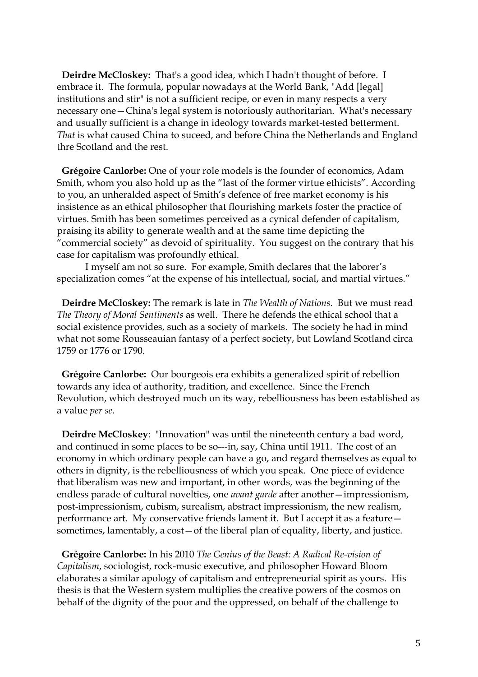**Deirdre McCloskey:** That's a good idea, which I hadn't thought of before. I embrace it. The formula, popular nowadays at the World Bank, "Add [legal] institutions and stir" is not a sufficient recipe, or even in many respects a very necessary one—China's legal system is notoriously authoritarian. What's necessary and usually sufficient is a change in ideology towards market-tested betterment. *That* is what caused China to suceed, and before China the Netherlands and England thre Scotland and the rest.

 **Grégoire Canlorbe:** One of your role models is the founder of economics, Adam Smith, whom you also hold up as the "last of the former virtue ethicists". According to you, an unheralded aspect of Smith's defence of free market economy is his insistence as an ethical philosopher that flourishing markets foster the practice of virtues. Smith has been sometimes perceived as a cynical defender of capitalism, praising its ability to generate wealth and at the same time depicting the "commercial society" as devoid of spirituality. You suggest on the contrary that his case for capitalism was profoundly ethical.

I myself am not so sure. For example, Smith declares that the laborer's specialization comes "at the expense of his intellectual, social, and martial virtues."

 **Deirdre McCloskey:** The remark is late in *The Wealth of Nations.* But we must read *The Theory of Moral Sentiments* as well. There he defends the ethical school that a social existence provides, such as a society of markets. The society he had in mind what not some Rousseauian fantasy of a perfect society, but Lowland Scotland circa 1759 or 1776 or 1790.

 **Grégoire Canlorbe:** Our bourgeois era exhibits a generalized spirit of rebellion towards any idea of authority, tradition, and excellence. Since the French Revolution, which destroyed much on its way, rebelliousness has been established as a value *per se*.

 **Deirdre McCloskey**: "Innovation" was until the nineteenth century a bad word, and continued in some places to be so---in, say, China until 1911. The cost of an economy in which ordinary people can have a go, and regard themselves as equal to others in dignity, is the rebelliousness of which you speak. One piece of evidence that liberalism was new and important, in other words, was the beginning of the endless parade of cultural novelties, one *avant garde* after another—impressionism, post-impressionism, cubism, surealism, abstract impressionism, the new realism, performance art. My conservative friends lament it. But I accept it as a feature sometimes, lamentably, a cost—of the liberal plan of equality, liberty, and justice.

 **Grégoire Canlorbe:** In his 2010 *The Genius of the Beast: A Radical Re-vision of Capitalism*, sociologist, rock-music executive, and philosopher Howard Bloom elaborates a similar apology of capitalism and entrepreneurial spirit as yours. His thesis is that the Western system multiplies the creative powers of the cosmos on behalf of the dignity of the poor and the oppressed, on behalf of the challenge to